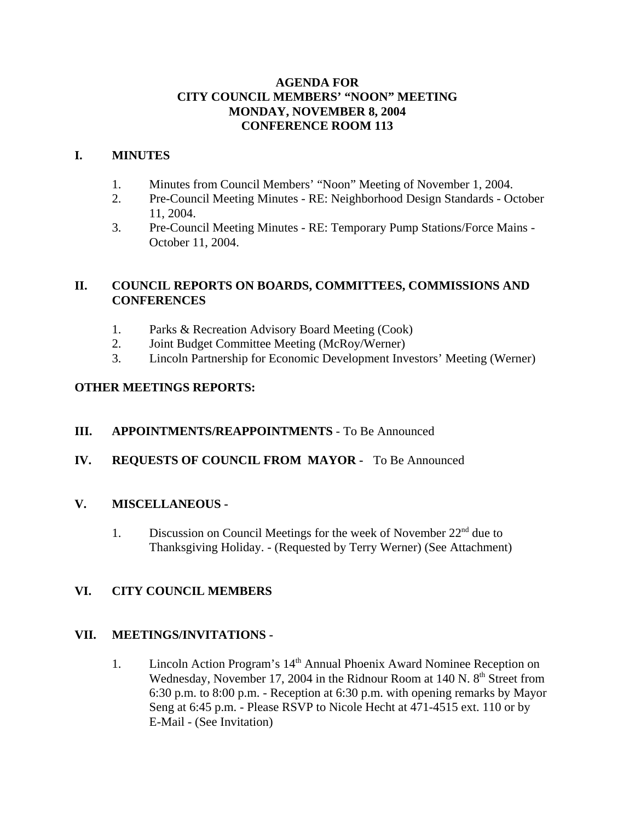### **AGENDA FOR CITY COUNCIL MEMBERS' "NOON" MEETING MONDAY, NOVEMBER 8, 2004 CONFERENCE ROOM 113**

### **I. MINUTES**

- 1. Minutes from Council Members' "Noon" Meeting of November 1, 2004.
- 2. Pre-Council Meeting Minutes RE: Neighborhood Design Standards October 11, 2004.
- 3. Pre-Council Meeting Minutes RE: Temporary Pump Stations/Force Mains October 11, 2004.

# **II. COUNCIL REPORTS ON BOARDS, COMMITTEES, COMMISSIONS AND CONFERENCES**

- 1. Parks & Recreation Advisory Board Meeting (Cook)
- 2. Joint Budget Committee Meeting (McRoy/Werner)
- 3. Lincoln Partnership for Economic Development Investors' Meeting (Werner)

# **OTHER MEETINGS REPORTS:**

### **III. APPOINTMENTS/REAPPOINTMENTS** - To Be Announced

### **IV. REQUESTS OF COUNCIL FROM MAYOR -** To Be Announced

### **V. MISCELLANEOUS -**

1. Discussion on Council Meetings for the week of November  $22<sup>nd</sup>$  due to Thanksgiving Holiday. - (Requested by Terry Werner) (See Attachment)

# **VI. CITY COUNCIL MEMBERS**

### **VII. MEETINGS/INVITATIONS -**

1. Lincoln Action Program's 14<sup>th</sup> Annual Phoenix Award Nominee Reception on Wednesday, November 17, 2004 in the Ridnour Room at 140 N.  $8<sup>th</sup>$  Street from 6:30 p.m. to 8:00 p.m. - Reception at 6:30 p.m. with opening remarks by Mayor Seng at 6:45 p.m. - Please RSVP to Nicole Hecht at 471-4515 ext. 110 or by E-Mail - (See Invitation)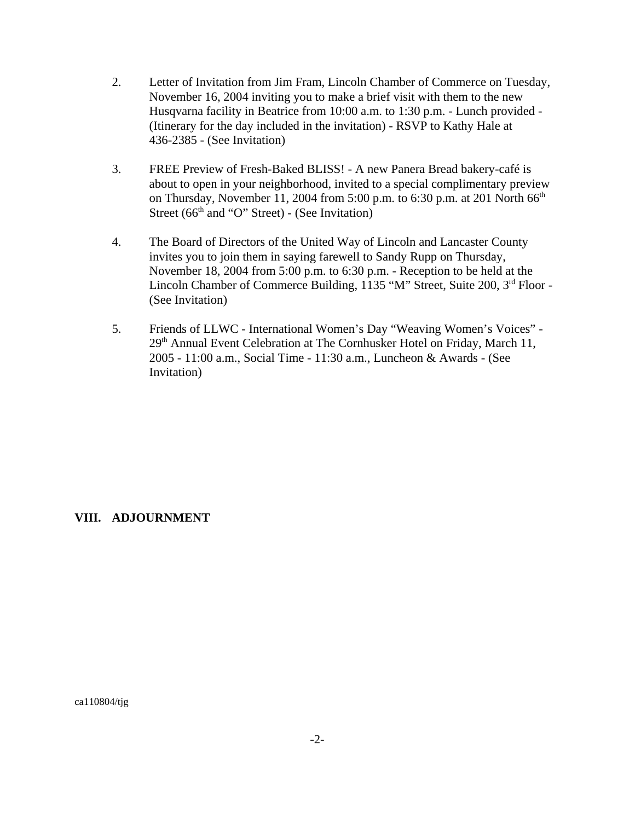- 2. Letter of Invitation from Jim Fram, Lincoln Chamber of Commerce on Tuesday, November 16, 2004 inviting you to make a brief visit with them to the new Husqvarna facility in Beatrice from 10:00 a.m. to 1:30 p.m. - Lunch provided - (Itinerary for the day included in the invitation) - RSVP to Kathy Hale at 436-2385 - (See Invitation)
- 3. FREE Preview of Fresh-Baked BLISS! A new Panera Bread bakery-café is about to open in your neighborhood, invited to a special complimentary preview on Thursday, November 11, 2004 from 5:00 p.m. to 6:30 p.m. at 201 North  $66<sup>th</sup>$ Street ( $66<sup>th</sup>$  and "O" Street) - (See Invitation)
- 4. The Board of Directors of the United Way of Lincoln and Lancaster County invites you to join them in saying farewell to Sandy Rupp on Thursday, November 18, 2004 from 5:00 p.m. to 6:30 p.m. - Reception to be held at the Lincoln Chamber of Commerce Building, 1135 "M" Street, Suite 200, 3<sup>rd</sup> Floor -(See Invitation)
- 5. Friends of LLWC International Women's Day "Weaving Women's Voices" 29<sup>th</sup> Annual Event Celebration at The Cornhusker Hotel on Friday, March 11, 2005 - 11:00 a.m., Social Time - 11:30 a.m., Luncheon & Awards - (See Invitation)

### **VIII. ADJOURNMENT**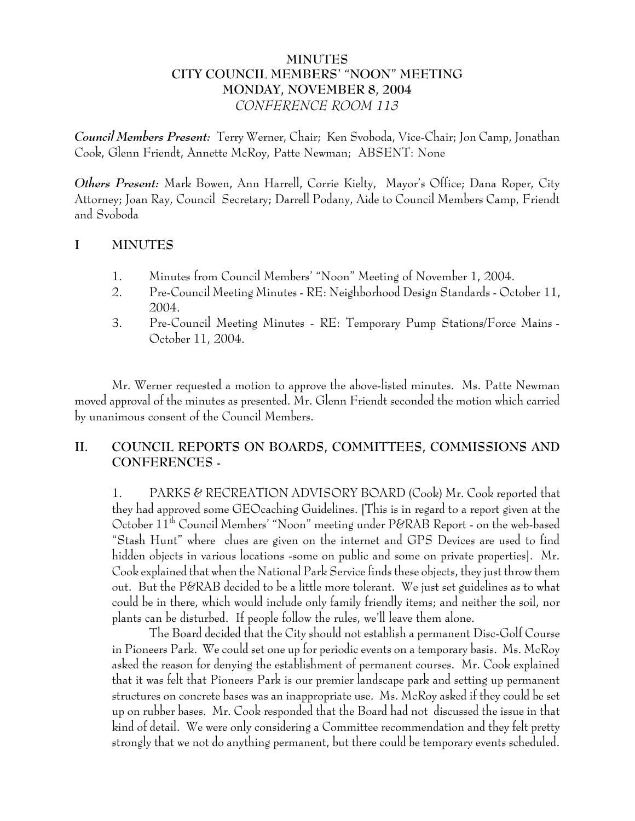## **MINUTES CITY COUNCIL MEMBERS' "NOON" MEETING MONDAY, NOVEMBER 8, 2004** *CONFERENCE ROOM 113*

*Council Members Present:* Terry Werner, Chair; Ken Svoboda, Vice-Chair; Jon Camp, Jonathan Cook, Glenn Friendt, Annette McRoy, Patte Newman; ABSENT: None

*Others Present:* Mark Bowen, Ann Harrell, Corrie Kielty, Mayor's Office; Dana Roper, City Attorney; Joan Ray, Council Secretary; Darrell Podany, Aide to Council Members Camp, Friendt and Svoboda

## **I MINUTES**

- 1. Minutes from Council Members' "Noon" Meeting of November 1, 2004.
- 2. Pre-Council Meeting Minutes RE: Neighborhood Design Standards October 11, 2004.
- 3. Pre-Council Meeting Minutes RE: Temporary Pump Stations/Force Mains October 11, 2004.

Mr. Werner requested a motion to approve the above-listed minutes. Ms. Patte Newman moved approval of the minutes as presented. Mr. Glenn Friendt seconded the motion which carried by unanimous consent of the Council Members.

# **II. COUNCIL REPORTS ON BOARDS, COMMITTEES, COMMISSIONS AND CONFERENCES -**

1. PARKS & RECREATION ADVISORY BOARD (Cook) Mr. Cook reported that they had approved some GEOcaching Guidelines. [This is in regard to a report given at the October 11th Council Members' "Noon" meeting under P&RAB Report - on the web-based "Stash Hunt" where clues are given on the internet and GPS Devices are used to find hidden objects in various locations -some on public and some on private properties]. Mr. Cook explained that when the National Park Service finds these objects, they just throw them out. But the P&RAB decided to be a little more tolerant. We just set guidelines as to what could be in there, which would include only family friendly items; and neither the soil, nor plants can be disturbed. If people follow the rules, we'll leave them alone.

The Board decided that the City should not establish a permanent Disc-Golf Course in Pioneers Park. We could set one up for periodic events on a temporary basis. Ms. McRoy asked the reason for denying the establishment of permanent courses. Mr. Cook explained that it was felt that Pioneers Park is our premier landscape park and setting up permanent structures on concrete bases was an inappropriate use. Ms. McRoy asked if they could be set up on rubber bases. Mr. Cook responded that the Board had not discussed the issue in that kind of detail. We were only considering a Committee recommendation and they felt pretty strongly that we not do anything permanent, but there could be temporary events scheduled.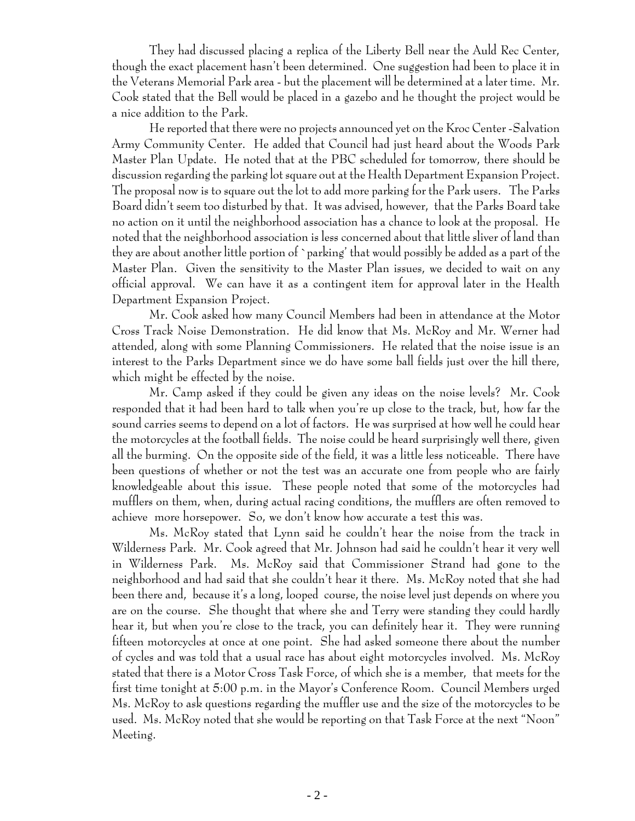They had discussed placing a replica of the Liberty Bell near the Auld Rec Center, though the exact placement hasn't been determined. One suggestion had been to place it in the Veterans Memorial Park area - but the placement will be determined at a later time. Mr. Cook stated that the Bell would be placed in a gazebo and he thought the project would be a nice addition to the Park.

He reported that there were no projects announced yet on the Kroc Center -Salvation Army Community Center. He added that Council had just heard about the Woods Park Master Plan Update. He noted that at the PBC scheduled for tomorrow, there should be discussion regarding the parking lot square out at the Health Department Expansion Project. The proposal now is to square out the lot to add more parking for the Park users. The Parks Board didn't seem too disturbed by that. It was advised, however, that the Parks Board take no action on it until the neighborhood association has a chance to look at the proposal. He noted that the neighborhood association is less concerned about that little sliver of land than they are about another little portion of `parking' that would possibly be added as a part of the Master Plan. Given the sensitivity to the Master Plan issues, we decided to wait on any official approval. We can have it as a contingent item for approval later in the Health Department Expansion Project.

Mr. Cook asked how many Council Members had been in attendance at the Motor Cross Track Noise Demonstration. He did know that Ms. McRoy and Mr. Werner had attended, along with some Planning Commissioners. He related that the noise issue is an interest to the Parks Department since we do have some ball fields just over the hill there, which might be effected by the noise.

Mr. Camp asked if they could be given any ideas on the noise levels? Mr. Cook responded that it had been hard to talk when you're up close to the track, but, how far the sound carries seems to depend on a lot of factors. He was surprised at how well he could hear the motorcycles at the football fields. The noise could be heard surprisingly well there, given all the burming. On the opposite side of the field, it was a little less noticeable. There have been questions of whether or not the test was an accurate one from people who are fairly knowledgeable about this issue. These people noted that some of the motorcycles had mufflers on them, when, during actual racing conditions, the mufflers are often removed to achieve more horsepower. So, we don't know how accurate a test this was.

Ms. McRoy stated that Lynn said he couldn't hear the noise from the track in Wilderness Park. Mr. Cook agreed that Mr. Johnson had said he couldn't hear it very well in Wilderness Park. Ms. McRoy said that Commissioner Strand had gone to the neighborhood and had said that she couldn't hear it there. Ms. McRoy noted that she had been there and, because it's a long, looped course, the noise level just depends on where you are on the course. She thought that where she and Terry were standing they could hardly hear it, but when you're close to the track, you can definitely hear it. They were running fifteen motorcycles at once at one point. She had asked someone there about the number of cycles and was told that a usual race has about eight motorcycles involved. Ms. McRoy stated that there is a Motor Cross Task Force, of which she is a member, that meets for the first time tonight at 5:00 p.m. in the Mayor's Conference Room. Council Members urged Ms. McRoy to ask questions regarding the muffler use and the size of the motorcycles to be used. Ms. McRoy noted that she would be reporting on that Task Force at the next "Noon" Meeting.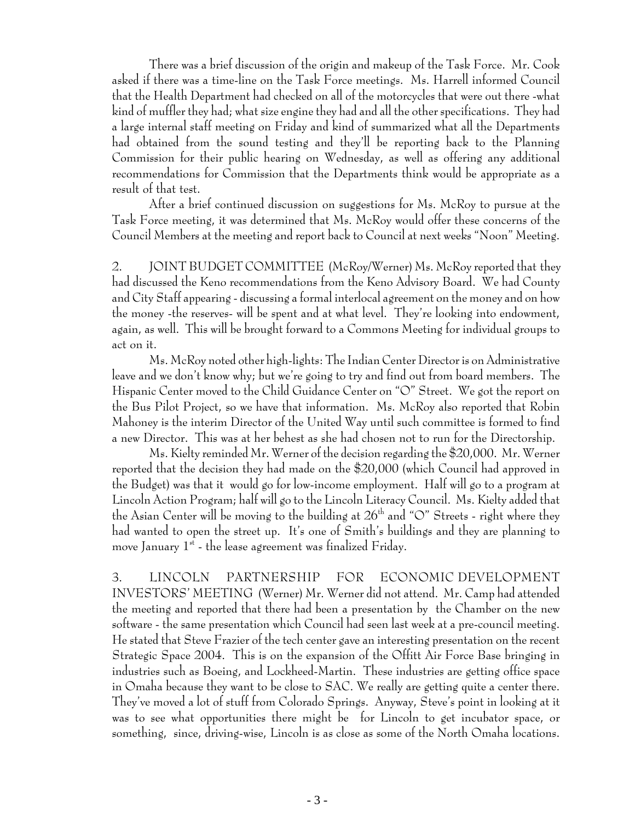There was a brief discussion of the origin and makeup of the Task Force. Mr. Cook asked if there was a time-line on the Task Force meetings. Ms. Harrell informed Council that the Health Department had checked on all of the motorcycles that were out there -what kind of muffler they had; what size engine they had and all the other specifications. They had a large internal staff meeting on Friday and kind of summarized what all the Departments had obtained from the sound testing and they'll be reporting back to the Planning Commission for their public hearing on Wednesday, as well as offering any additional recommendations for Commission that the Departments think would be appropriate as a result of that test.

After a brief continued discussion on suggestions for Ms. McRoy to pursue at the Task Force meeting, it was determined that Ms. McRoy would offer these concerns of the Council Members at the meeting and report back to Council at next weeks "Noon" Meeting.

2. JOINT BUDGET COMMITTEE (McRoy/Werner) Ms. McRoy reported that they had discussed the Keno recommendations from the Keno Advisory Board. We had County and City Staff appearing - discussing a formal interlocal agreement on the money and on how the money -the reserves- will be spent and at what level. They're looking into endowment, again, as well. This will be brought forward to a Commons Meeting for individual groups to act on it.

Ms. McRoy noted other high-lights: The Indian Center Director is on Administrative leave and we don't know why; but we're going to try and find out from board members. The Hispanic Center moved to the Child Guidance Center on "O" Street. We got the report on the Bus Pilot Project, so we have that information. Ms. McRoy also reported that Robin Mahoney is the interim Director of the United Way until such committee is formed to find a new Director. This was at her behest as she had chosen not to run for the Directorship.

Ms. Kielty reminded Mr. Werner of the decision regarding the \$20,000. Mr. Werner reported that the decision they had made on the \$20,000 (which Council had approved in the Budget) was that it would go for low-income employment. Half will go to a program at Lincoln Action Program; half will go to the Lincoln Literacy Council. Ms. Kielty added that the Asian Center will be moving to the building at  $26<sup>th</sup>$  and "O" Streets - right where they had wanted to open the street up. It's one of Smith's buildings and they are planning to move January  $1<sup>st</sup>$  - the lease agreement was finalized Friday.

3. LINCOLN PARTNERSHIP FOR ECONOMIC DEVELOPMENT INVESTORS' MEETING (Werner) Mr. Werner did not attend. Mr. Camp had attended the meeting and reported that there had been a presentation by the Chamber on the new software - the same presentation which Council had seen last week at a pre-council meeting. He stated that Steve Frazier of the tech center gave an interesting presentation on the recent Strategic Space 2004. This is on the expansion of the Offitt Air Force Base bringing in industries such as Boeing, and Lockheed-Martin. These industries are getting office space in Omaha because they want to be close to SAC. We really are getting quite a center there. They've moved a lot of stuff from Colorado Springs. Anyway, Steve's point in looking at it was to see what opportunities there might be for Lincoln to get incubator space, or something, since, driving-wise, Lincoln is as close as some of the North Omaha locations.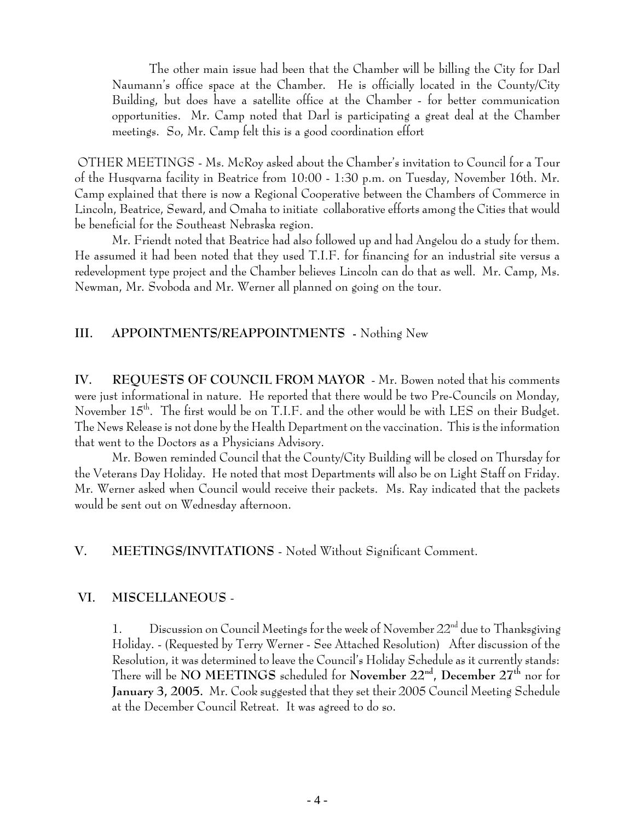The other main issue had been that the Chamber will be billing the City for Darl Naumann's office space at the Chamber. He is officially located in the County/City Building, but does have a satellite office at the Chamber - for better communication opportunities. Mr. Camp noted that Darl is participating a great deal at the Chamber meetings. So, Mr. Camp felt this is a good coordination effort

 OTHER MEETINGS - Ms. McRoy asked about the Chamber's invitation to Council for a Tour of the Husqvarna facility in Beatrice from 10:00 - 1:30 p.m. on Tuesday, November 16th. Mr. Camp explained that there is now a Regional Cooperative between the Chambers of Commerce in Lincoln, Beatrice, Seward, and Omaha to initiate collaborative efforts among the Cities that would be beneficial for the Southeast Nebraska region.

Mr. Friendt noted that Beatrice had also followed up and had Angelou do a study for them. He assumed it had been noted that they used T.I.F. for financing for an industrial site versus a redevelopment type project and the Chamber believes Lincoln can do that as well. Mr. Camp, Ms. Newman, Mr. Svoboda and Mr. Werner all planned on going on the tour.

#### **III. APPOINTMENTS/REAPPOINTMENTS -** Nothing New

**IV. REQUESTS OF COUNCIL FROM MAYOR** - Mr. Bowen noted that his comments were just informational in nature. He reported that there would be two Pre-Councils on Monday, November  $15^{th}$ . The first would be on T.I.F. and the other would be with LES on their Budget. The News Release is not done by the Health Department on the vaccination. This is the information that went to the Doctors as a Physicians Advisory.

Mr. Bowen reminded Council that the County/City Building will be closed on Thursday for the Veterans Day Holiday. He noted that most Departments will also be on Light Staff on Friday. Mr. Werner asked when Council would receive their packets. Ms. Ray indicated that the packets would be sent out on Wednesday afternoon.

#### **V. MEETINGS/INVITATIONS** - Noted Without Significant Comment.

#### **VI. MISCELLANEOUS** -

1. Discussion on Council Meetings for the week of November  $22<sup>nd</sup>$  due to Thanksgiving Holiday. - (Requested by Terry Werner - See Attached Resolution) After discussion of the Resolution, it was determined to leave the Council's Holiday Schedule as it currently stands: There will be **NO MEETINGS** scheduled for **November 22nd, December 27th** nor for **January 3, 2005.** Mr. Cook suggested that they set their 2005 Council Meeting Schedule at the December Council Retreat. It was agreed to do so.